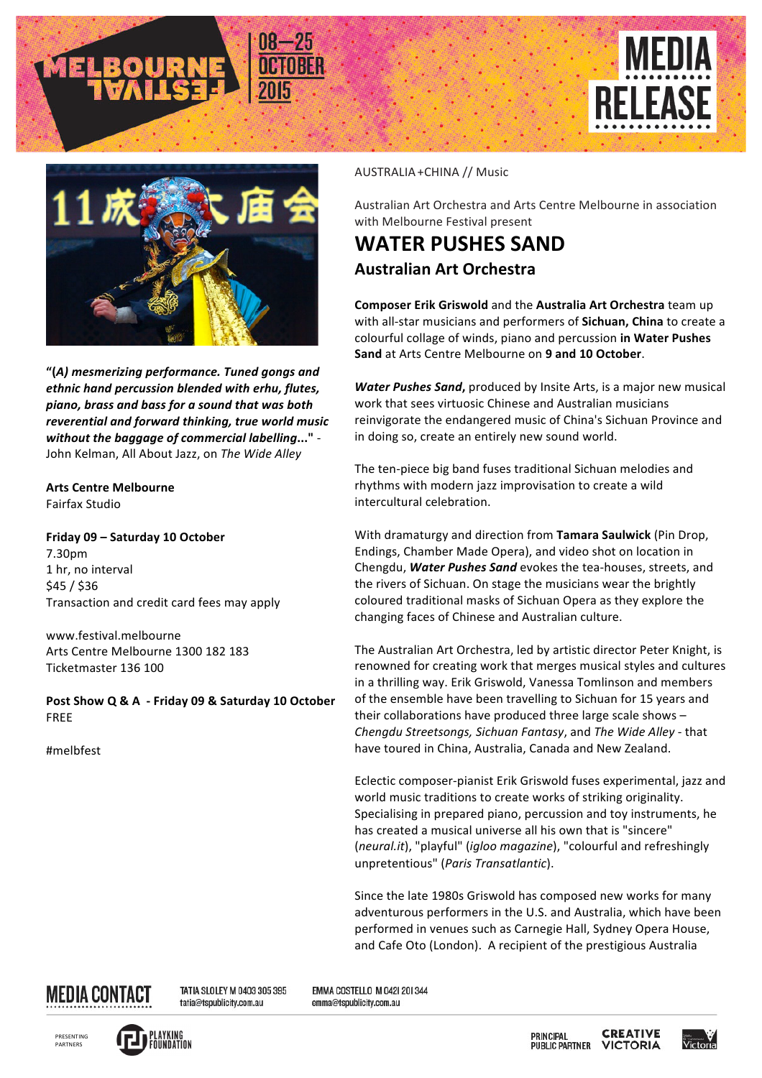



**"(***A) mesmerizing performance. Tuned gongs and*  ethnic hand percussion blended with erhu, flutes, *piano, brass and bass for a sound that was both*  reverential and forward thinking, true world music *without the baggage of commercial labelling..."* -John Kelman, All About Jazz, on The Wide Alley

**Arts Centre Melbourne** Fairfax Studio

**Friday 09 – Saturday 10 October** 7.30pm 1 hr, no interval \$45 / \$36 Transaction and credit card fees may apply

www.festival.melbourne Arts Centre Melbourne 1300 182 183 Ticketmaster 136 100

Post Show Q & A - Friday 09 & Saturday 10 October FREE

#melbfest

## AUSTRALIA + CHINA // Music

Australian Art Orchestra and Arts Centre Melbourne in association with Melbourne Festival present

## **WATER PUSHES SAND Australian Art Orchestra**

**Composer Erik Griswold** and the **Australia Art Orchestra** team up with all-star musicians and performers of **Sichuan, China** to create a colourful collage of winds, piano and percussion in Water Pushes **Sand** at Arts Centre Melbourne on 9 and 10 October.

**Water Pushes Sand,** produced by Insite Arts, is a major new musical work that sees virtuosic Chinese and Australian musicians reinvigorate the endangered music of China's Sichuan Province and in doing so, create an entirely new sound world.

The ten-piece big band fuses traditional Sichuan melodies and rhythms with modern jazz improvisation to create a wild intercultural celebration.

With dramaturgy and direction from Tamara Saulwick (Pin Drop, Endings, Chamber Made Opera), and video shot on location in Chengdu, Water Pushes Sand evokes the tea-houses, streets, and the rivers of Sichuan. On stage the musicians wear the brightly coloured traditional masks of Sichuan Opera as they explore the changing faces of Chinese and Australian culture.

The Australian Art Orchestra, led by artistic director Peter Knight, is renowned for creating work that merges musical styles and cultures in a thrilling way. Erik Griswold, Vanessa Tomlinson and members of the ensemble have been travelling to Sichuan for 15 years and their collaborations have produced three large scale shows  $-$ *Chengdu Streetsongs, Sichuan Fantasy*, and *The Wide Alley* - that have toured in China, Australia, Canada and New Zealand.

Eclectic composer-pianist Erik Griswold fuses experimental, jazz and world music traditions to create works of striking originality. Specialising in prepared piano, percussion and toy instruments, he has created a musical universe all his own that is "sincere" (*neural.it*), "playful" (*igloo magazine*), "colourful and refreshingly unpretentious" (*Paris Transatlantic*). 

Since the late 1980s Griswold has composed new works for many adventurous performers in the U.S. and Australia, which have been performed in venues such as Carnegie Hall, Sydney Opera House, and Cafe Oto (London). A recipient of the prestigious Australia



TATIA SLOLEY M 0403 305 395 tatia@tspublicity.com.au

EMMA COSTELLO M 042| 20| 344 emma@tspublicity.com.au



**CREATIVE PRINCIPAL PUBLIC PARTNER VICTORIA**